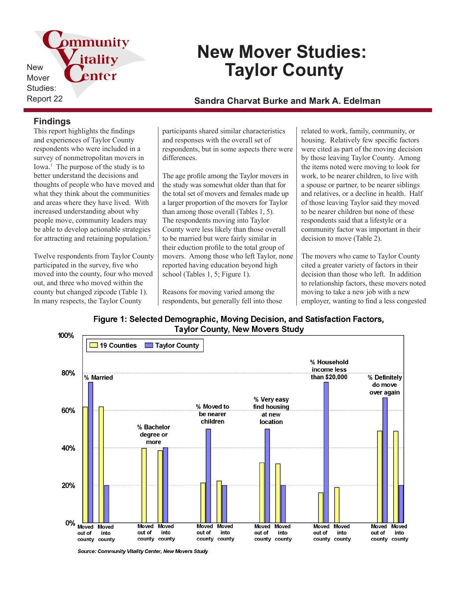pmmunity itality New Mover Studies:

# **New Mover Studies: Taylor County**

## Report 22 **Sandra Charvat Burke and Mark A. Edelman**

### **Findings**

This report highlights the findings and experiences of Taylor County respondents who were included in a survey of nonmetropolitan movers in Iowa.<sup>1</sup> The purpose of the study is to better understand the decisions and thoughts of people who have moved and what they think about the communities and areas where they have lived. With increased understanding about why people move, community leaders may be able to develop actionable strategies for attracting and retaining population.<sup>2</sup>

enter

Twelve respondents from Taylor County participated in the survey, five who moved into the county, four who moved out, and three who moved within the county but changed zipcode (Table 1). In many respects, the Taylor County

participants shared similar characteristics and responses with the overall set of respondents, but in some aspects there were differences.

The age profile among the Taylor movers in the study was somewhat older than that for the total set of movers and females made up a larger proportion of the movers for Taylor than among those overall (Tables 1, 5). The respondents moving into Taylor County were less likely than those overall to be married but were fairly similar in their eduction profile to the total group of movers. Among those who left Taylor, none reported having education beyond high school (Tables 1, 5; Figure 1).

Reasons for moving varied among the respondents, but generally fell into those

related to work, family, community, or housing. Relatively few specific factors were cited as part of the moving decision by those leaving Taylor County. Among the items noted were moving to look for work, to be nearer children, to live with a spouse or partner, to be nearer siblings and relatives, or a decline in health. Half of those leaving Taylor said they moved to be nearer children but none of these respondents said that a lifestyle or a community factor was important in their decision to move (Table 2).

The movers who came to Taylor County cited a greater variety of factors in their decision than those who left. In addition to relationship factors, these movers noted moving to take a new job with a new employer, wanting to find a less congested

Figure 1: Selected Demographic, Moving Decision, and Satisfaction Factors, **Taylor County, New Movers Study** 



Source: Community Vitality Center. New Movers Study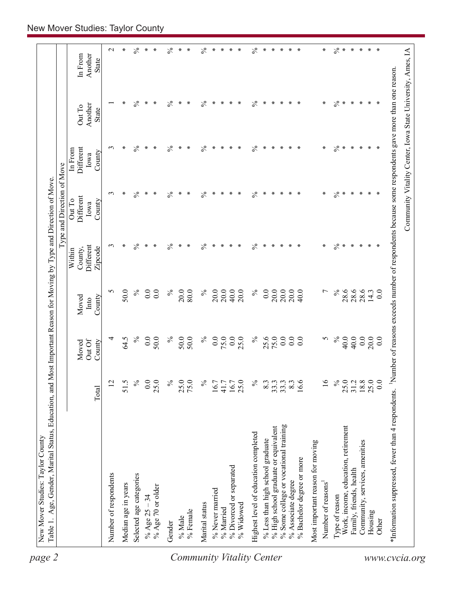|                                            |                     |                           |                         |                                           | Type and Direction of Move            |                                        |                            |                             |
|--------------------------------------------|---------------------|---------------------------|-------------------------|-------------------------------------------|---------------------------------------|----------------------------------------|----------------------------|-----------------------------|
|                                            | Total               | Out Of<br>Moved<br>County | Moved<br>County<br>Into | Different<br>Zipcode<br>County,<br>Within | Different<br>Out To<br>County<br>Iowa | Different<br>In From<br>County<br>Iowa | Another<br>Out To<br>State | Another<br>In From<br>State |
|                                            |                     |                           |                         |                                           |                                       |                                        |                            |                             |
| Number of respondents                      | $\overline{c}$      | 4                         | n                       | $\epsilon$                                | $\epsilon$                            | $\epsilon$                             |                            | $\mathbf{C}$                |
| Median age in years                        | 51.5                | 64.5                      | 50.0                    | ∗                                         | ∗                                     | ∗                                      | ∗                          | $\ast$                      |
| Selected age categories                    | $\%$                | $\%$                      | $\%$                    | $\%$                                      | $\frac{5}{6}$                         | $\%$                                   | $\%$                       | $\%$                        |
| % Age $25 - 34$                            | 0.0                 | 0.0                       | 0.0                     | ∗                                         | $\ast$                                | $\ast$                                 | $\ast$                     | $\ast$                      |
| % Age 70 or older                          | 25.0                | 50.0                      | 0.0                     | $\ast$                                    | $\ast$                                | $*$                                    | $\ast$                     | $\ast$                      |
| Gender                                     | $\%$                | $\%$                      | $\%$                    | $\%$                                      | $\%$                                  | $\%$                                   | $\%$                       | $\%$                        |
| % Male<br><b>Community Vitality Center</b> | 25.0                | 50.0                      | 20.0                    | $\ast$                                    | $\ast$                                | $\ast$                                 | $\ast$                     | $\ast$                      |
| % Female                                   | 75.0                | 50.0                      | 80.0                    | $\ast$                                    | ∗                                     | ∗                                      | $\ast$                     | $\ast$                      |
| Marital status                             | $\%$                | $\%$                      | $\%$                    | $\%$                                      | $\frac{5}{6}$                         | $\frac{5}{6}$                          | $\%$                       | $\frac{5}{6}$               |
| % Never married                            | 16.7                | 0.0                       | 20.0                    | $\ast$                                    | $\ast$                                | $\ast$                                 | $\ast$                     | $\ast$                      |
| % Married                                  | 41.7                | 75.0                      | 20.0                    | $\ast$                                    | $\ast$                                | $\ast$                                 | $\ast$                     | $\ast$                      |
| % Divorced or separated                    | 16.7                | 0.0                       | 40.0                    | $\ast$                                    | $\ast$                                | $\ast$                                 | $\ast$                     | $\ast$                      |
| % Widowed                                  | 25.0                | 25.0                      | 20.0                    | $\ast$                                    | $\ast$                                | $*$                                    | $*$                        | $\ast$                      |
| Highest level of education completed       | $\%$                | $\%$                      | $\%$                    | $\%$                                      | $\frac{5}{6}$                         | $\%$                                   | $\%$                       | $\%$                        |
| % Less than high school graduate           | 8.3                 | 25.6                      | 0.0                     | $\ast$                                    | $\ast$                                | $\ast$                                 | $\ast$                     | $\ast$                      |
| % High school graduate or equivalent       | 33.3                | 75.0                      | 20.0                    | $\ast$                                    | $\ast$                                | $\ast$                                 | $\ast$                     | $\ast$                      |
| % Some college or vocational training      | 33.3                | 0.0                       | 20.0                    | $\ast$                                    | $\ast$                                | $\ast$                                 | $\ast$                     | $\ast$                      |
| % Associate degree                         | $8.\overline{3}$    | 0.0                       | 20.0                    | $\ast$<br>$*$                             | $\ast$<br>∗                           | ∗<br>$\ast$                            | $\ast$<br>$*$              | $\ast$<br>$*$               |
| % Bachelor degree or more                  | 16.6                | 0.0                       | 40.0                    |                                           |                                       |                                        |                            |                             |
| Most important reason for moving           |                     |                           |                         |                                           |                                       |                                        |                            |                             |
| Number of reasons                          | $\overline{16}$     | 5                         | $\overline{ }$          | ∗                                         | ∗                                     | ∗                                      | ∗                          | ∗                           |
| Type of reason                             | $\%$                | $\%$                      | $\%$                    | $\%$                                      | $\%$                                  | $\frac{6}{6}$                          | $\%$                       | $\%$                        |
| Work, income, education, retirement        | 25.0                | 40.0                      | 28.6                    | $\ast$                                    | $\ast$                                | $\ast$                                 | $\ast$                     | $\ast$                      |
| Family, friends, health                    | 31.2                | 40.0                      | 28.6                    | $\ast$                                    | $\ast$                                | $\ast$                                 | $\ast$                     | $\ast$                      |
| Community, services, amenities             | $\frac{18.8}{25.0}$ | 0.0                       | 28.6                    | $\ast$                                    | $\ast$                                | $\ast$                                 | $\ast$                     | $\ast$                      |
| Housing                                    |                     | 20.0                      | 14.3                    | $* *$                                     | ⋇<br>∗                                | $\ast$<br>$\ast$                       | $\ast$<br>$\ast$           | $\ast$<br>∗                 |
| Other                                      |                     | 0.0                       | $_{0.0}$                |                                           |                                       |                                        |                            |                             |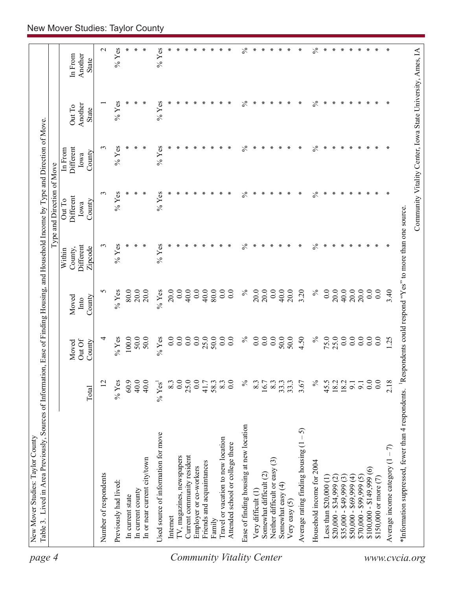| $\ast$<br>$\mathbf{\Omega}$<br>∗<br>∗<br>∗<br>∗<br>$\ast$<br>∗<br>$\ast$<br>$\ast$<br>∗<br>$\ast$<br>$\ast$<br>$\ast$<br>∗<br>∗<br>∗<br>∗<br>∗<br>∗<br>∗<br>∗<br>∗<br>∗<br>Another<br>In From<br><b>State</b><br>$\frac{5}{6}$<br>$\frac{5}{6}$<br>$%$ Yes<br>$%$ Yes<br>$\ast$<br>∗<br>∗<br>∗<br>∗<br>∗<br>∗<br>∗<br>∗<br>∗<br>∗<br>∗<br>∗<br>∗<br>Another<br>Out To<br><b>State</b><br>$%$ Yes<br>$\frac{5}{6}$<br>$%$ Yes<br>∗<br>$\frac{5}{6}$<br>$\ast$<br>3<br>∗<br>∗<br>∗<br>∗<br>∗<br>∗<br>∗<br>∗<br>∗<br>∗<br>∗<br>Different<br>In From<br>County<br>Iowa<br>$\%$<br>$\frac{5}{6}$<br>$\ast$<br>3<br>$%$ Yes<br>∗<br>∗<br>∗<br>∗<br>×<br>$%$ Yes<br>∗<br>∗<br>∗<br>∗<br>∗<br>∗<br>∗<br>∗<br>∗<br>∗<br>∗<br>∗<br>Different<br>Out To<br>County<br>Iowa<br>$%$ Yes<br>$\%$<br>$\%$<br>$%$ Yes<br>∗<br>∗<br>∗<br>$\ast$<br>∗<br>$\ast$<br>∗<br>∗<br>3<br>∗<br>∗<br>∗<br>∗<br>∗<br>∗<br>$\ast$<br>Different<br>∗<br>∗<br>Zipcode<br>County,<br>Within<br>0.0<br>40.0<br>$\%$<br>20.0<br>0.0<br>40.0<br>$\%$<br>0.0<br>20.0<br>40.0<br>20.0<br>20.0<br>0.0<br>5<br>$\%$ Yes<br>80.0<br>20.0<br>$%$ Yes<br>20.0<br>0.0<br>40.0<br>0.0<br>$80.0$<br>0.0<br>0.0<br>20.0<br>20.0<br>3.20<br>3.40<br>20.0<br>County<br>Moved<br>Into<br>25.0<br>0.0<br>0.0<br>25.0<br>50.0<br>$\%$<br>0.0<br>50.0<br>$\%$<br>75.0<br>0.0<br>0.0<br>$0.0\,$<br>$%$ Yes<br>100.0<br>50.0<br>50.0<br>0.0<br>0.0<br>0.0<br>$\overline{0}$ .<br>0.0<br>0.0<br>50.0<br>4.50<br>0.0<br>0.0<br>$%$ Yes<br>1.25<br>4<br>Out Of<br>Moved<br>County<br>$%$ Yes<br>60.9<br>40.0<br>25.0<br>0.0<br>8.3<br>0.0<br>$\%$<br>$\%$<br>0.0<br>0.0<br>2.18<br>$\overline{2}$<br>40.0<br>0.0<br>41.7<br>58.3<br>$16.7$<br>8.3<br>45.5<br>$18.2$<br>$18.2$<br>8.3<br>8.3<br>33.3<br>33.3<br>3.67<br>9.1<br>9.1<br>$\%$ Yes <sup>1</sup><br>Total<br>Ease of finding housing at new location<br>$-5$<br>Used source of information for move<br>Travel or vacation to new location<br>Average rating finding housing (1<br>Attended school or college there<br>Average income category $(1 - 7)$<br>Current community resident<br>IV, magazines, newspapers<br>In or near current city/town<br>Neither difficult or easy (3)<br>Household income for 2004<br>Friends and acquaintances<br>Employer or co-workers<br>$$100,000 - $149,999(6)$<br>Somewhat difficult (2)<br>Number of respondents<br>$$50,000 - $69,999(4)$<br>$$70,000 - $99,999(5)$<br>$$35,000 - $49,999(3)$<br>Less than $$20,000(1)$<br>\$150,000 or more (7)<br>$$20,000 - $34,999 (2)$<br>Previously had lived:<br>Somewhat easy (4)<br>In current county<br>Very difficult (1)<br>In current state<br>Very easy $(5)$<br>Internet<br>Family | $\frac{6}{6}$<br>$\frac{5}{6}$<br>$%$ Yes<br>$%$ Yes<br>*Information suppressed, fewer than 4 respondents. Bespondents could respond "Yes" to more than one source. | Community Vitality Center, Iowa State University, Ames, IA | Table 3. Lived in Area Previously, Sources of Information, Ease of Finding Housing, and Household Income by Type and Direction of Move |  |  | Type and Direction of Move |  |  |
|--------------------------------------------------------------------------------------------------------------------------------------------------------------------------------------------------------------------------------------------------------------------------------------------------------------------------------------------------------------------------------------------------------------------------------------------------------------------------------------------------------------------------------------------------------------------------------------------------------------------------------------------------------------------------------------------------------------------------------------------------------------------------------------------------------------------------------------------------------------------------------------------------------------------------------------------------------------------------------------------------------------------------------------------------------------------------------------------------------------------------------------------------------------------------------------------------------------------------------------------------------------------------------------------------------------------------------------------------------------------------------------------------------------------------------------------------------------------------------------------------------------------------------------------------------------------------------------------------------------------------------------------------------------------------------------------------------------------------------------------------------------------------------------------------------------------------------------------------------------------------------------------------------------------------------------------------------------------------------------------------------------------------------------------------------------------------------------------------------------------------------------------------------------------------------------------------------------------------------------------------------------------------------------------------------------------------------------------------------------------------------------------------------------------------------------------------------------------------------------------------------------------------------------------------------------------------------------------------------------------------------------------------------------------------|---------------------------------------------------------------------------------------------------------------------------------------------------------------------|------------------------------------------------------------|----------------------------------------------------------------------------------------------------------------------------------------|--|--|----------------------------|--|--|
|                                                                                                                                                                                                                                                                                                                                                                                                                                                                                                                                                                                                                                                                                                                                                                                                                                                                                                                                                                                                                                                                                                                                                                                                                                                                                                                                                                                                                                                                                                                                                                                                                                                                                                                                                                                                                                                                                                                                                                                                                                                                                                                                                                                                                                                                                                                                                                                                                                                                                                                                                                                                                                                                          |                                                                                                                                                                     |                                                            |                                                                                                                                        |  |  |                            |  |  |
|                                                                                                                                                                                                                                                                                                                                                                                                                                                                                                                                                                                                                                                                                                                                                                                                                                                                                                                                                                                                                                                                                                                                                                                                                                                                                                                                                                                                                                                                                                                                                                                                                                                                                                                                                                                                                                                                                                                                                                                                                                                                                                                                                                                                                                                                                                                                                                                                                                                                                                                                                                                                                                                                          |                                                                                                                                                                     |                                                            |                                                                                                                                        |  |  |                            |  |  |
|                                                                                                                                                                                                                                                                                                                                                                                                                                                                                                                                                                                                                                                                                                                                                                                                                                                                                                                                                                                                                                                                                                                                                                                                                                                                                                                                                                                                                                                                                                                                                                                                                                                                                                                                                                                                                                                                                                                                                                                                                                                                                                                                                                                                                                                                                                                                                                                                                                                                                                                                                                                                                                                                          |                                                                                                                                                                     |                                                            |                                                                                                                                        |  |  |                            |  |  |
|                                                                                                                                                                                                                                                                                                                                                                                                                                                                                                                                                                                                                                                                                                                                                                                                                                                                                                                                                                                                                                                                                                                                                                                                                                                                                                                                                                                                                                                                                                                                                                                                                                                                                                                                                                                                                                                                                                                                                                                                                                                                                                                                                                                                                                                                                                                                                                                                                                                                                                                                                                                                                                                                          |                                                                                                                                                                     |                                                            |                                                                                                                                        |  |  |                            |  |  |
|                                                                                                                                                                                                                                                                                                                                                                                                                                                                                                                                                                                                                                                                                                                                                                                                                                                                                                                                                                                                                                                                                                                                                                                                                                                                                                                                                                                                                                                                                                                                                                                                                                                                                                                                                                                                                                                                                                                                                                                                                                                                                                                                                                                                                                                                                                                                                                                                                                                                                                                                                                                                                                                                          |                                                                                                                                                                     |                                                            |                                                                                                                                        |  |  |                            |  |  |
|                                                                                                                                                                                                                                                                                                                                                                                                                                                                                                                                                                                                                                                                                                                                                                                                                                                                                                                                                                                                                                                                                                                                                                                                                                                                                                                                                                                                                                                                                                                                                                                                                                                                                                                                                                                                                                                                                                                                                                                                                                                                                                                                                                                                                                                                                                                                                                                                                                                                                                                                                                                                                                                                          |                                                                                                                                                                     |                                                            |                                                                                                                                        |  |  |                            |  |  |
|                                                                                                                                                                                                                                                                                                                                                                                                                                                                                                                                                                                                                                                                                                                                                                                                                                                                                                                                                                                                                                                                                                                                                                                                                                                                                                                                                                                                                                                                                                                                                                                                                                                                                                                                                                                                                                                                                                                                                                                                                                                                                                                                                                                                                                                                                                                                                                                                                                                                                                                                                                                                                                                                          |                                                                                                                                                                     |                                                            |                                                                                                                                        |  |  |                            |  |  |
|                                                                                                                                                                                                                                                                                                                                                                                                                                                                                                                                                                                                                                                                                                                                                                                                                                                                                                                                                                                                                                                                                                                                                                                                                                                                                                                                                                                                                                                                                                                                                                                                                                                                                                                                                                                                                                                                                                                                                                                                                                                                                                                                                                                                                                                                                                                                                                                                                                                                                                                                                                                                                                                                          |                                                                                                                                                                     |                                                            |                                                                                                                                        |  |  |                            |  |  |
|                                                                                                                                                                                                                                                                                                                                                                                                                                                                                                                                                                                                                                                                                                                                                                                                                                                                                                                                                                                                                                                                                                                                                                                                                                                                                                                                                                                                                                                                                                                                                                                                                                                                                                                                                                                                                                                                                                                                                                                                                                                                                                                                                                                                                                                                                                                                                                                                                                                                                                                                                                                                                                                                          |                                                                                                                                                                     |                                                            |                                                                                                                                        |  |  |                            |  |  |
|                                                                                                                                                                                                                                                                                                                                                                                                                                                                                                                                                                                                                                                                                                                                                                                                                                                                                                                                                                                                                                                                                                                                                                                                                                                                                                                                                                                                                                                                                                                                                                                                                                                                                                                                                                                                                                                                                                                                                                                                                                                                                                                                                                                                                                                                                                                                                                                                                                                                                                                                                                                                                                                                          |                                                                                                                                                                     |                                                            |                                                                                                                                        |  |  |                            |  |  |
|                                                                                                                                                                                                                                                                                                                                                                                                                                                                                                                                                                                                                                                                                                                                                                                                                                                                                                                                                                                                                                                                                                                                                                                                                                                                                                                                                                                                                                                                                                                                                                                                                                                                                                                                                                                                                                                                                                                                                                                                                                                                                                                                                                                                                                                                                                                                                                                                                                                                                                                                                                                                                                                                          |                                                                                                                                                                     |                                                            |                                                                                                                                        |  |  |                            |  |  |
|                                                                                                                                                                                                                                                                                                                                                                                                                                                                                                                                                                                                                                                                                                                                                                                                                                                                                                                                                                                                                                                                                                                                                                                                                                                                                                                                                                                                                                                                                                                                                                                                                                                                                                                                                                                                                                                                                                                                                                                                                                                                                                                                                                                                                                                                                                                                                                                                                                                                                                                                                                                                                                                                          |                                                                                                                                                                     |                                                            |                                                                                                                                        |  |  |                            |  |  |
|                                                                                                                                                                                                                                                                                                                                                                                                                                                                                                                                                                                                                                                                                                                                                                                                                                                                                                                                                                                                                                                                                                                                                                                                                                                                                                                                                                                                                                                                                                                                                                                                                                                                                                                                                                                                                                                                                                                                                                                                                                                                                                                                                                                                                                                                                                                                                                                                                                                                                                                                                                                                                                                                          |                                                                                                                                                                     |                                                            |                                                                                                                                        |  |  |                            |  |  |
|                                                                                                                                                                                                                                                                                                                                                                                                                                                                                                                                                                                                                                                                                                                                                                                                                                                                                                                                                                                                                                                                                                                                                                                                                                                                                                                                                                                                                                                                                                                                                                                                                                                                                                                                                                                                                                                                                                                                                                                                                                                                                                                                                                                                                                                                                                                                                                                                                                                                                                                                                                                                                                                                          |                                                                                                                                                                     |                                                            |                                                                                                                                        |  |  |                            |  |  |
|                                                                                                                                                                                                                                                                                                                                                                                                                                                                                                                                                                                                                                                                                                                                                                                                                                                                                                                                                                                                                                                                                                                                                                                                                                                                                                                                                                                                                                                                                                                                                                                                                                                                                                                                                                                                                                                                                                                                                                                                                                                                                                                                                                                                                                                                                                                                                                                                                                                                                                                                                                                                                                                                          |                                                                                                                                                                     |                                                            |                                                                                                                                        |  |  |                            |  |  |
|                                                                                                                                                                                                                                                                                                                                                                                                                                                                                                                                                                                                                                                                                                                                                                                                                                                                                                                                                                                                                                                                                                                                                                                                                                                                                                                                                                                                                                                                                                                                                                                                                                                                                                                                                                                                                                                                                                                                                                                                                                                                                                                                                                                                                                                                                                                                                                                                                                                                                                                                                                                                                                                                          |                                                                                                                                                                     |                                                            |                                                                                                                                        |  |  |                            |  |  |
|                                                                                                                                                                                                                                                                                                                                                                                                                                                                                                                                                                                                                                                                                                                                                                                                                                                                                                                                                                                                                                                                                                                                                                                                                                                                                                                                                                                                                                                                                                                                                                                                                                                                                                                                                                                                                                                                                                                                                                                                                                                                                                                                                                                                                                                                                                                                                                                                                                                                                                                                                                                                                                                                          |                                                                                                                                                                     |                                                            |                                                                                                                                        |  |  |                            |  |  |
|                                                                                                                                                                                                                                                                                                                                                                                                                                                                                                                                                                                                                                                                                                                                                                                                                                                                                                                                                                                                                                                                                                                                                                                                                                                                                                                                                                                                                                                                                                                                                                                                                                                                                                                                                                                                                                                                                                                                                                                                                                                                                                                                                                                                                                                                                                                                                                                                                                                                                                                                                                                                                                                                          |                                                                                                                                                                     |                                                            |                                                                                                                                        |  |  |                            |  |  |
|                                                                                                                                                                                                                                                                                                                                                                                                                                                                                                                                                                                                                                                                                                                                                                                                                                                                                                                                                                                                                                                                                                                                                                                                                                                                                                                                                                                                                                                                                                                                                                                                                                                                                                                                                                                                                                                                                                                                                                                                                                                                                                                                                                                                                                                                                                                                                                                                                                                                                                                                                                                                                                                                          |                                                                                                                                                                     |                                                            |                                                                                                                                        |  |  |                            |  |  |
|                                                                                                                                                                                                                                                                                                                                                                                                                                                                                                                                                                                                                                                                                                                                                                                                                                                                                                                                                                                                                                                                                                                                                                                                                                                                                                                                                                                                                                                                                                                                                                                                                                                                                                                                                                                                                                                                                                                                                                                                                                                                                                                                                                                                                                                                                                                                                                                                                                                                                                                                                                                                                                                                          |                                                                                                                                                                     |                                                            |                                                                                                                                        |  |  |                            |  |  |
|                                                                                                                                                                                                                                                                                                                                                                                                                                                                                                                                                                                                                                                                                                                                                                                                                                                                                                                                                                                                                                                                                                                                                                                                                                                                                                                                                                                                                                                                                                                                                                                                                                                                                                                                                                                                                                                                                                                                                                                                                                                                                                                                                                                                                                                                                                                                                                                                                                                                                                                                                                                                                                                                          |                                                                                                                                                                     |                                                            |                                                                                                                                        |  |  |                            |  |  |
|                                                                                                                                                                                                                                                                                                                                                                                                                                                                                                                                                                                                                                                                                                                                                                                                                                                                                                                                                                                                                                                                                                                                                                                                                                                                                                                                                                                                                                                                                                                                                                                                                                                                                                                                                                                                                                                                                                                                                                                                                                                                                                                                                                                                                                                                                                                                                                                                                                                                                                                                                                                                                                                                          |                                                                                                                                                                     |                                                            |                                                                                                                                        |  |  |                            |  |  |
|                                                                                                                                                                                                                                                                                                                                                                                                                                                                                                                                                                                                                                                                                                                                                                                                                                                                                                                                                                                                                                                                                                                                                                                                                                                                                                                                                                                                                                                                                                                                                                                                                                                                                                                                                                                                                                                                                                                                                                                                                                                                                                                                                                                                                                                                                                                                                                                                                                                                                                                                                                                                                                                                          |                                                                                                                                                                     |                                                            |                                                                                                                                        |  |  |                            |  |  |
|                                                                                                                                                                                                                                                                                                                                                                                                                                                                                                                                                                                                                                                                                                                                                                                                                                                                                                                                                                                                                                                                                                                                                                                                                                                                                                                                                                                                                                                                                                                                                                                                                                                                                                                                                                                                                                                                                                                                                                                                                                                                                                                                                                                                                                                                                                                                                                                                                                                                                                                                                                                                                                                                          |                                                                                                                                                                     |                                                            |                                                                                                                                        |  |  |                            |  |  |
|                                                                                                                                                                                                                                                                                                                                                                                                                                                                                                                                                                                                                                                                                                                                                                                                                                                                                                                                                                                                                                                                                                                                                                                                                                                                                                                                                                                                                                                                                                                                                                                                                                                                                                                                                                                                                                                                                                                                                                                                                                                                                                                                                                                                                                                                                                                                                                                                                                                                                                                                                                                                                                                                          |                                                                                                                                                                     |                                                            |                                                                                                                                        |  |  |                            |  |  |
|                                                                                                                                                                                                                                                                                                                                                                                                                                                                                                                                                                                                                                                                                                                                                                                                                                                                                                                                                                                                                                                                                                                                                                                                                                                                                                                                                                                                                                                                                                                                                                                                                                                                                                                                                                                                                                                                                                                                                                                                                                                                                                                                                                                                                                                                                                                                                                                                                                                                                                                                                                                                                                                                          |                                                                                                                                                                     |                                                            |                                                                                                                                        |  |  |                            |  |  |
|                                                                                                                                                                                                                                                                                                                                                                                                                                                                                                                                                                                                                                                                                                                                                                                                                                                                                                                                                                                                                                                                                                                                                                                                                                                                                                                                                                                                                                                                                                                                                                                                                                                                                                                                                                                                                                                                                                                                                                                                                                                                                                                                                                                                                                                                                                                                                                                                                                                                                                                                                                                                                                                                          |                                                                                                                                                                     |                                                            |                                                                                                                                        |  |  |                            |  |  |
|                                                                                                                                                                                                                                                                                                                                                                                                                                                                                                                                                                                                                                                                                                                                                                                                                                                                                                                                                                                                                                                                                                                                                                                                                                                                                                                                                                                                                                                                                                                                                                                                                                                                                                                                                                                                                                                                                                                                                                                                                                                                                                                                                                                                                                                                                                                                                                                                                                                                                                                                                                                                                                                                          |                                                                                                                                                                     |                                                            |                                                                                                                                        |  |  |                            |  |  |
|                                                                                                                                                                                                                                                                                                                                                                                                                                                                                                                                                                                                                                                                                                                                                                                                                                                                                                                                                                                                                                                                                                                                                                                                                                                                                                                                                                                                                                                                                                                                                                                                                                                                                                                                                                                                                                                                                                                                                                                                                                                                                                                                                                                                                                                                                                                                                                                                                                                                                                                                                                                                                                                                          |                                                                                                                                                                     |                                                            |                                                                                                                                        |  |  |                            |  |  |
|                                                                                                                                                                                                                                                                                                                                                                                                                                                                                                                                                                                                                                                                                                                                                                                                                                                                                                                                                                                                                                                                                                                                                                                                                                                                                                                                                                                                                                                                                                                                                                                                                                                                                                                                                                                                                                                                                                                                                                                                                                                                                                                                                                                                                                                                                                                                                                                                                                                                                                                                                                                                                                                                          |                                                                                                                                                                     |                                                            |                                                                                                                                        |  |  |                            |  |  |
|                                                                                                                                                                                                                                                                                                                                                                                                                                                                                                                                                                                                                                                                                                                                                                                                                                                                                                                                                                                                                                                                                                                                                                                                                                                                                                                                                                                                                                                                                                                                                                                                                                                                                                                                                                                                                                                                                                                                                                                                                                                                                                                                                                                                                                                                                                                                                                                                                                                                                                                                                                                                                                                                          |                                                                                                                                                                     |                                                            |                                                                                                                                        |  |  |                            |  |  |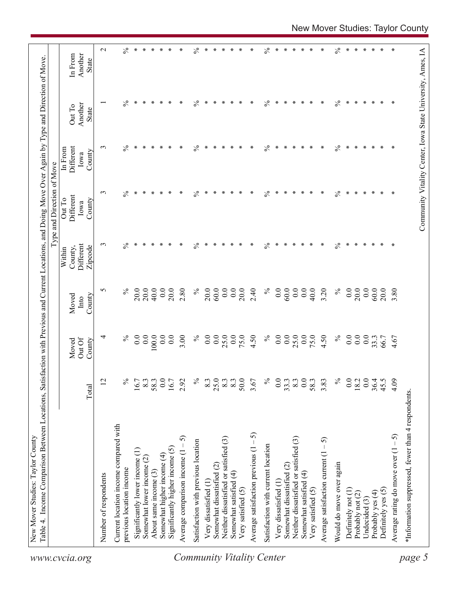|                                  |                                                    |                  |                           |                         |                                           | ype and Direction of Move             |                                        |                                                            |                             |
|----------------------------------|----------------------------------------------------|------------------|---------------------------|-------------------------|-------------------------------------------|---------------------------------------|----------------------------------------|------------------------------------------------------------|-----------------------------|
| www.cvcia.org                    |                                                    | Total            | Out Of<br>County<br>Moved | County<br>Moved<br>Into | Different<br>County,<br>Zipcode<br>Within | Different<br>Out To<br>County<br>Iowa | Different<br>In From<br>County<br>Iowa | Another<br>Out To<br><b>State</b>                          | In From<br>Another<br>State |
|                                  | Number of respondents                              | 12               | 4                         | S                       | $\epsilon$                                | $\epsilon$                            | $\epsilon$                             |                                                            | $\mathbf{\Omega}$           |
|                                  | Current location income compared with              |                  | $\%$                      | $\%$                    | ≾                                         |                                       |                                        | $\frac{5}{6}$                                              |                             |
|                                  | previous location income                           | $\%$             |                           |                         |                                           | $\%$                                  | $\%$                                   |                                                            | $\%$                        |
|                                  | Significantly lower income (1)                     | 16.7             | 0.0                       | 20.0                    | ∗                                         | ∗                                     | ∗                                      | ∗                                                          | $\ast$                      |
|                                  | Somewhat lower income (2)                          | 8.3              | 0.0                       | 20.0                    | ∗                                         | ∗                                     | ∗                                      | ∗                                                          | $\ast$                      |
|                                  | About same income (3)                              | $58.3$<br>0.0    | 0.0                       | 40.0                    | $\ast$                                    | ∗                                     | ∗                                      | ∗                                                          | $\ast$                      |
|                                  | Somewhat higher income (4)                         |                  | 0.0                       | 0.0                     | $\ast$                                    | ∗                                     | ∗                                      | ∗                                                          | $\ast$                      |
|                                  | Significantly higher income (5)                    | 16.7             | 0.0                       | 20.0                    | ∗                                         | ∗                                     | ∗                                      | ∗                                                          | $\ast$                      |
|                                  | Average comparison income $(1 - 5)$                | 2.92             | 3.00                      | 2.80                    | ∗                                         | ∗                                     | ∗                                      | ∗                                                          | ∗                           |
|                                  | Satisfaction with previous location                | $\%$             | $\%$                      | $\%$                    | $\frac{5}{6}$                             | $\%$                                  | $\%$                                   | $\%$                                                       | $\frac{5}{6}$               |
|                                  | Very dissatisfied (1                               | 8.3              | 0.0                       | 20.0                    | ∗                                         | ∗                                     | ∗                                      | ∗                                                          | ∗                           |
|                                  | Somewhat dissatisfied (2)                          | 25.0             | 0.0                       | 60.0                    | $\ast$                                    | ∗                                     | ∗                                      | ∗                                                          | $\ast$                      |
|                                  | Neither dissatisfied or satisfied (3)              | $8.3\,$          | 25.0                      | 0.0                     | ∗                                         | ∗                                     | ∗                                      | ∗                                                          | $\ast$                      |
|                                  | Somewhat satisfied (4)                             | $8.\overline{3}$ | 0.0                       | 0.0                     | $\ast$                                    | ∗                                     | ∗                                      | ∗                                                          | $\ast$                      |
|                                  | Very satisfied (5)                                 | 50.0             | 75.0                      | 20.0                    | $\ast$                                    | ∗                                     | ∗                                      | ∗                                                          | $\ast$                      |
|                                  | Average satisfaction previous $(1 - 5)$            | 3.67             | 4.50                      | 2.40                    | ∗                                         | ∗                                     | ∗                                      | ∗                                                          | $\ast$                      |
| <b>Community Vitality Center</b> | Satisfaction with current location                 | $\%$             | $\%$                      | $\%$                    | $\%$                                      | $\frac{5}{6}$                         | $\%$                                   | $\%$                                                       | $\frac{6}{6}$               |
|                                  | Very dissatisfied (1                               |                  | 0.0                       | 0.0                     | ∗                                         | ∗                                     | ∗                                      | ∗                                                          | ∗                           |
|                                  | Somewhat dissatisfied (2)                          | $0.0$<br>33.3    | 0.0                       | 60.0                    | $\ast$                                    | ∗                                     | ∗                                      | ∗                                                          | $\ast$                      |
|                                  | Neither dissatisfied or satisfied (3)              | 8.3              | 25.0                      | 0.0                     | $\ast$                                    | ∗                                     | ∗                                      | ∗                                                          | $\ast$                      |
|                                  | Somewhat satisfied (4)                             | 0.0              | 0.0                       | 0.0                     | ∗                                         | ∗                                     | ∗                                      | ∗                                                          | $\ast$                      |
|                                  | Very satisfied (5)                                 | 58.3             | 75.0                      | 40.0                    | $\ast$                                    | ∗                                     | ∗                                      | ∗                                                          | $\ast$                      |
|                                  | $-5)$<br>Average satisfaction current (1           | 3.83             | 4.50                      | 3.20                    | $\ast$                                    | ∗                                     | ∗                                      | ∗                                                          | $\ast$                      |
|                                  | Would do move over again                           | $\%$             | $\%$                      | $\%$                    | $\mathcal{S}_{\mathsf{o}}$                | $\%$                                  | $\%$                                   | $\%$                                                       | $\%$                        |
|                                  | Definitely not (1)                                 | 0.0              | 0.0                       | 0.0                     | $\ast$                                    | $\ast$                                | ∗                                      | ∗                                                          | ∗                           |
|                                  | Probably not (2)                                   | 18.2             | 0.0                       | 20.0                    | $\ast$                                    | ∗                                     | ∗                                      | ∗                                                          | $\ast$                      |
|                                  | Undecided $(3)$                                    | 0.0              | 0.0                       | 0.0                     | $\ast$                                    | $\ast$                                | $\ast$                                 | $\ast$                                                     | $\ast$                      |
|                                  | Probably yes (4)                                   | $36.4$<br>45.5   | 33.3                      | 60.0                    | $\ast$                                    | ∗                                     | $\ast$                                 | $\ast$                                                     | $\ast$                      |
|                                  | Definitely yes (5)                                 |                  | 66.7                      | 20.0                    | $\ast$                                    | ∗                                     | $\ast$                                 | ∗                                                          | $\ast$                      |
|                                  | Average rating do move over $(1 - 5)$              | 4.09             | 4.67                      | 3.80                    | $\ast$                                    | $\ast$                                | ∗                                      | $\ast$                                                     | ∗                           |
| page 5                           | *Information suppressed, fewer than 4 respondents. |                  |                           |                         |                                           |                                       |                                        |                                                            |                             |
|                                  |                                                    |                  |                           |                         |                                           |                                       |                                        | Community Vitality Center, Iowa State University, Ames, IA |                             |
|                                  |                                                    |                  |                           |                         |                                           |                                       |                                        |                                                            |                             |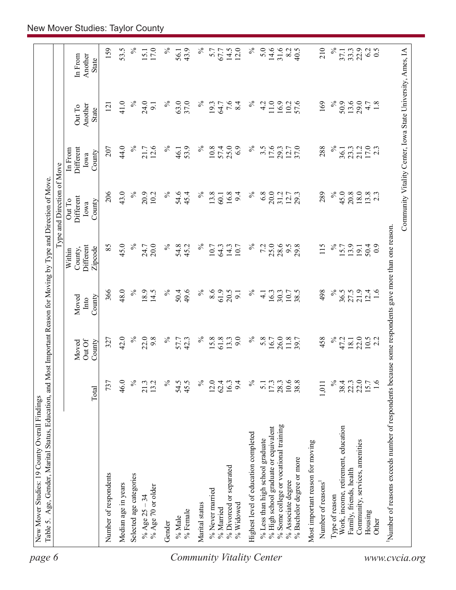|                                                       |                  |                 |               |                                                 | Type and Direction of Move  |                              |                                                            |                    |
|-------------------------------------------------------|------------------|-----------------|---------------|-------------------------------------------------|-----------------------------|------------------------------|------------------------------------------------------------|--------------------|
|                                                       |                  | Out Of<br>Moved | Moved<br>Into | Different<br>County,<br>Within                  | Different<br>Out To<br>Iowa | Different<br>In From<br>Iowa | Another<br>Out To                                          | Another<br>In From |
|                                                       | Total            | County          | County        | Zipcode                                         | County                      | County                       | <b>State</b>                                               | <b>State</b>       |
| Number of respondents                                 | 737              | 327             | 366           | 85                                              | 206                         | 207                          | 121                                                        | 159                |
| Median age in years                                   | 46.0             | 42.0            | 48.0          | 45.0                                            | 43.0                        | 44.0                         | 41.0                                                       | 53.5               |
| Selected age categories                               | $\frac{5}{6}$    | $\%$            | $\%$          | $\%$                                            | $\%$                        | $\%$                         | $\%$                                                       | $\%$               |
| % Age 70 or older<br>% Age $25 - 34$                  | 21.3<br>13.2     | 22.0<br>9.8     | 18.9<br>14.5  | 20.0<br>24.7                                    | 20.9<br>10.2                | 12.6<br>21.7                 | 24.0<br>9.1                                                | 17.0<br>15.1       |
| Gender                                                | $\%$             | $\%$            | $\%$          | $\%$                                            | $\%$                        | $\%$                         | $\%$                                                       | $\%$               |
| $\%$ Male                                             | 54.5             |                 | 50.4          |                                                 | 54.6                        | 46.1                         | 63.0                                                       | 56.1               |
| % Female                                              | 45.5             | 57.7<br>42.3    | 49.6          | 54.8<br>45.2                                    | 45.4                        | 53.9                         | 37.0                                                       | 43.9               |
| Marital status                                        | $\%$             | $\%$            | $\%$          | $\%$                                            | $\%$                        | $\%$                         | $\%$                                                       | $\%$               |
| % Never married                                       | 12.0             | 15.8            | 8.6           | 10.7                                            | 13.8                        | 10.8                         | 19.3                                                       | 5.7                |
| % Married                                             | 62.4             | 61.8            | 61.9<br>20.5  | 64.3                                            | 16.8<br>60.1                | 25.0<br>57.4                 | 64.7                                                       | 67.7               |
| % Divorced or separated<br>% Widowed                  | 16.3<br>9.4      | 9.0<br>13.3     | 9.1           | 14.3<br>10.7                                    | 9.4                         | 6.9                          | 7.6<br>8.4                                                 | 14.5<br>12.0       |
| Highest level of education completed                  | $\%$             | $\%$            | $\%$          | $\%$                                            | $\%$                        | $\%$                         | $\%$                                                       | $\%$               |
| % Less than high school graduate                      | $\overline{5.1}$ | 5.8             | $\frac{1}{4}$ | 7.2                                             | 6.8                         | $3.\overline{5}$             | 4.2                                                        | 5.0                |
| % High school graduate or equivalent                  | 17.3             | 16.7            | 16.3          | 25.0                                            | 20.0                        | 17.6                         | $11.0$ $\,$                                                | $14.6$<br>31.6     |
| % Some college or vocational training                 | 28.3             | 26.0            | 30.3          | 28.6                                            | 31.2                        | 29.3                         | 16.9                                                       |                    |
| % Bachelor degree or more<br>% Associate degree       | 10.6<br>38.8     | 11.8            | 10.7<br>38.5  | 29.8<br>6.6                                     | 12.7<br>29.3                | 12.7<br>37.0                 | 57.6<br>10.2                                               | 8.2<br>40.5        |
| Most important reason for moving                      |                  |                 |               |                                                 |                             |                              |                                                            |                    |
| Number of reasons                                     | 1,011            | 458             | 498           | 115                                             | 289                         | 288                          | 169                                                        | 210                |
| Type of reason                                        | $\%$             | $\%$            | $\%$          | $\%$                                            | $\%$                        | $\%$                         | $\%$                                                       | $\%$               |
| Work, income, retirement, education                   | 38.4             | 47.2            | 36.5          | 15.7                                            | 45.0                        | 36.1                         | 50.9                                                       | 37.1               |
| Family, friends, health                               | 22.3             | 18.1            | 27.5          | 13.9                                            | 20.8                        | 23.3                         | 13.6                                                       | 33.3               |
| Community, services, amenities                        | 22.0             | 22.0            | 21.9          | 19.1                                            | 18.0                        | 21.2                         | 29.0                                                       | 22.9               |
| Housing<br>Other                                      | 1.6<br>15.7      | $10.5$<br>2.2   | 12.4<br>1.6   | 50.4<br>$_{0.0}$                                | $13.8$<br>2.3               | 17.0<br>2.3                  | 4.7<br>1.8                                                 | 0.5<br>62          |
|                                                       |                  |                 |               |                                                 |                             |                              |                                                            |                    |
| Number of reasons exceeds number of respondents becan |                  |                 |               | use some respondents gave more than one reason. |                             |                              | Community Vitality Center, Iowa State University, Ames, IA |                    |
|                                                       |                  |                 |               |                                                 |                             |                              |                                                            |                    |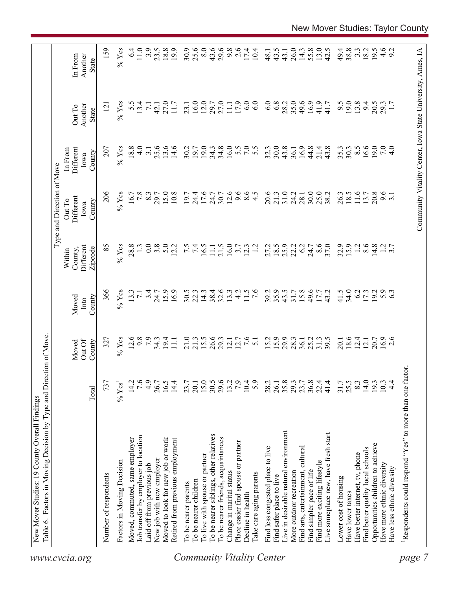|                                  | Table 6. Factors in Moving Decision by Type and Direction of Move. |                  |                           |                         |                                           | Type and Direction of Move            |                                        |                                                            |                                    |
|----------------------------------|--------------------------------------------------------------------|------------------|---------------------------|-------------------------|-------------------------------------------|---------------------------------------|----------------------------------------|------------------------------------------------------------|------------------------------------|
| www.cvcia.org                    |                                                                    | Total            | Out Of<br>County<br>Moved | County<br>Moved<br>Into | Different<br>Zipcode<br>County,<br>Within | Different<br>Out To<br>County<br>Iowa | Different<br>In From<br>County<br>Iowa | Another<br>Out To<br>State                                 | Another<br>In From<br><b>State</b> |
|                                  | Number of respondents                                              | 737              | 327                       | 366                     | 85                                        | 206                                   | 207                                    | $\overline{2}$                                             | 159                                |
|                                  | Factors in Moving Decision                                         | $\%$ Yes         | $%$ Yes                   | $%$ Yes                 | $%$ Yes                                   | $%$ Yes                               | $%$ Yes                                | $%$ Yes                                                    | $%$ Yes                            |
|                                  | Moved, commuted, same employer                                     | 14.2             | 12.6                      | 13.3                    | 28.8                                      | 16.7                                  | 18.8                                   | 5.5                                                        | 6.4                                |
|                                  | Job transfer by employer to location                               | 7.6              | 9.8                       | $\overline{7.1}$        |                                           | 7.8                                   | $\frac{0}{4}$                          | 13.4                                                       | 11.0                               |
|                                  | Laid off from previous job                                         | 4.9              | 7.9                       | 3.4                     | 0.0                                       | 8.3                                   | 3.1                                    | $\overline{71}$                                            | 3.9                                |
|                                  | New job with new employer                                          | 26.7             | $34.3$<br>19.4            | 24.7                    | 3.8                                       | 29.7                                  | 25.6                                   | 42.1                                                       | 23.5                               |
|                                  | Moved to look for new job or work                                  | 16.5             |                           | 15.9                    | 5.0                                       | 15.0                                  | 13.6                                   | 27.0                                                       | 18.8                               |
|                                  | Retired from previous employment                                   | 14.4             | $\Xi$                     | 16.9                    | 12.2                                      | 10.8                                  | 14.6                                   | 11.7                                                       | 19.9                               |
|                                  | To be nearer parents                                               | 23.7             | 21.0                      | 30.5                    |                                           | 19.7                                  | 30.2                                   | 23.1                                                       | 30.9                               |
|                                  | To be nearer children                                              | 20.1             | 21.3                      | 22.3                    | $7.\overline{5}$                          | 24.4                                  | 19.7                                   | 16.0                                                       | 25.6                               |
|                                  | To live with spouse or partner                                     |                  | 15.5                      | 14.3                    | 16.5                                      | 17.6                                  | 19.0                                   | 12.0                                                       | 8.0                                |
|                                  | To be nearer siblings, other relatives                             | $15.0$<br>$30.5$ | 26.6                      | 38.4                    | $\Xi$                                     | 24.7                                  | 34.3                                   | 29.7                                                       | 43.6                               |
|                                  | To be nearer friends, acquaintances                                | 29.6             | 29.3                      | 32.6                    | 21.5                                      | 30.7                                  | 34.8                                   | 27.0                                                       | 29.6                               |
|                                  | Change in marital status                                           | 13.2             | 12.1                      | 13.3                    | 16.0                                      | 12.6                                  | 16.0                                   | $\overline{111}$                                           | 9.8                                |
|                                  | Place easier find spouse or partner                                | 7.9              | 12.7                      | $\frac{1}{4}$           | 3.7                                       | 9.6                                   |                                        | 17.9                                                       | 2.6                                |
|                                  | Decline in health                                                  | 10.4             | 7.6                       | 11.5                    | 12.3                                      | $\frac{6}{4}$ .5                      | 5.0000                                 | 6.0                                                        | 17.4                               |
| <b>Community Vitality Center</b> | Take care aging parents                                            | 5.9              | $\overline{51}$           | $\overline{7.6}$        | $\overline{12}$                           |                                       |                                        | 6.0                                                        | 10.4                               |
|                                  | Find less congested place to live                                  | 28.2             | 15.2                      | 39.2                    | 27.2                                      | 20.6                                  | 32.3                                   | 6.0                                                        | 48.1                               |
|                                  | Find safer place to live                                           | 26.1             | 15.9                      | 35.9                    | 18.5                                      | 21.3                                  | 30.0                                   | 6.8                                                        | 43.5                               |
|                                  | Live in desirable natural environment                              | 35.8             | 29.9                      | 43.5                    | 25.9                                      | 31.0                                  | 43.8                                   | 28.2                                                       | 43.1                               |
|                                  | More outdoor recreation                                            | 29.3             | 28.3                      | 31.7                    | 22.2                                      | 24.2                                  | 36.1                                   | 35.0                                                       | 26.0                               |
|                                  | Find arts, entertainment, cultural                                 | 23.7             | 36.1                      | 15.8                    | 6.2                                       | 28.1                                  | 16.9                                   | 49.6                                                       | 14.3                               |
|                                  | Find simpler pace of life                                          | $36.8$<br>$22.4$ | 25.2                      | 49.6                    | 24.7                                      | 30.0                                  | 44.8                                   | 16.9                                                       | 55.8                               |
|                                  | Find more exciting lifestyle                                       |                  | 31.3                      | 17.7                    | 8.6                                       | 25.0                                  | 21.4                                   | 41.9                                                       | 13.0                               |
|                                  | Live someplace new, have fresh start                               | 41.4             | 39.5                      | 43.2                    | 37.0                                      | 38.2                                  | 43.8                                   | 41.7                                                       | 42.5                               |
|                                  | Lower cost of housing                                              | 31.7             | 20.1                      | 41.5                    | 32.9                                      | 26.3                                  | 35.3                                   | 9.5                                                        | 49.4                               |
|                                  | Have lower taxes                                                   | 25.5             | 18.6                      | 34.0                    | 15.9                                      | 18.5                                  | 30.3                                   | 19.0                                                       | 38.8                               |
|                                  | Have better internet, tv, phone                                    | 8.3              | 12.4                      | 6.2                     | 1.2                                       | 11.6                                  | $8.\overline{5}$                       | 13.8                                                       | $3.\overline{3}$                   |
|                                  | Find better quality local schools                                  | 14.0             | 12.1                      | 17.3                    | 8.6                                       | 13.7                                  | 16.6                                   | 94                                                         | 18.2                               |
|                                  | Opportunities children to achieve                                  | 193              | 20.7                      | 19.2                    | 14.8                                      | 20.8                                  | 19.0                                   | 20.5                                                       | 19.5                               |
|                                  | Have more ethnic diversity                                         | 10.3             | $16.9$<br>2.6             | $5.9$<br>6.3            |                                           | 9.6                                   | 7.0                                    | 29.3                                                       |                                    |
|                                  | Have less ethnic diversity                                         | $\frac{4}{4}$    |                           |                         | $\frac{1}{3}$ .7                          |                                       | $\frac{1}{4}$                          |                                                            | $4.6$<br>9.2                       |
| page                             | Respondents could respond "Yes" to more than one factor            |                  |                           |                         |                                           |                                       |                                        |                                                            |                                    |
|                                  |                                                                    |                  |                           |                         |                                           |                                       |                                        |                                                            |                                    |
|                                  |                                                                    |                  |                           |                         |                                           |                                       |                                        | Community Vitality Center, Iowa State University, Ames, IA |                                    |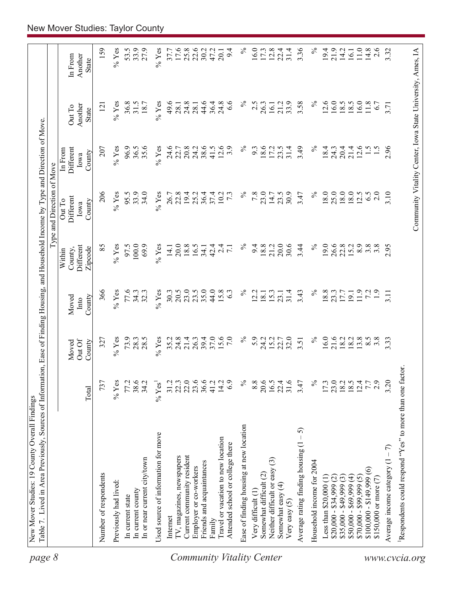| page 8                           | Table 7. Lived in Area Previously, Sources of Information, Ease of Finding Housing, and Household Income by Type and Direction of Move |                  |                           |                         |                                           | Type and Direction of Move                                 |                                        |                                   |                             |
|----------------------------------|----------------------------------------------------------------------------------------------------------------------------------------|------------------|---------------------------|-------------------------|-------------------------------------------|------------------------------------------------------------|----------------------------------------|-----------------------------------|-----------------------------|
|                                  |                                                                                                                                        | Total            | Out Of<br>County<br>Moved | County<br>Moved<br>Into | Different<br>Zipcode<br>County,<br>Within | Different<br>Out To<br>County<br>Iowa                      | Different<br>In From<br>County<br>Iowa | Another<br>Out To<br><b>State</b> | Another<br>In From<br>State |
|                                  | Number of respondents                                                                                                                  | 737              | 327                       | 366                     | 85                                        | 206                                                        | 207                                    | $\overline{2}$                    | 159                         |
|                                  | Previously had lived:                                                                                                                  | $%$ Yes          | $%$ Yes                   | $%$ Yes                 | $\%$ Yes                                  | $%$ Yes                                                    | $\%$ Yes                               | $\%$ Yes                          | $\%$ Yes                    |
|                                  | In current state                                                                                                                       | 77.2             | 73.9                      | 77.6                    | 97.5                                      | 95.5                                                       | 96.9                                   | 36.8                              | 53.5                        |
|                                  | In current county                                                                                                                      | 38.6             | 28.3                      | 34.3                    | 100.0                                     | 33.9                                                       | 36.5                                   | 31.5                              | 33.9                        |
|                                  | In or near current city/town                                                                                                           | 34.2             | 28.5                      | 32.3                    | 69.9                                      | 34.0                                                       | 35.6                                   | 18.7                              | 27.9                        |
|                                  | Used source of information for move                                                                                                    | $% \text{Yes}^1$ | $%$ Yes                   | $%$ Yes                 | $%$ Yes                                   | $%$ Yes                                                    | $%$ Yes                                | $%$ Yes                           | $%$ Yes                     |
|                                  | Internet                                                                                                                               | 31.2             | 35.2                      | 30.3                    | 14.1                                      | 26.7                                                       | 24.6                                   | 49.6                              | 37.7                        |
|                                  | TV, magazines, newspapers                                                                                                              | 22.3             | 24.8                      | 20.5                    | 20.0                                      | 22.8                                                       | 22.7                                   | 28.1                              | 17.6                        |
|                                  | Current community resident                                                                                                             | 22.0             | 21.4                      | 23.0                    | 18.8                                      | 19.4                                                       | 20.8                                   | 24.8                              | 25.8                        |
|                                  | Employer or co-workers                                                                                                                 | 23.6             | 26.3                      | 23.5                    | 16.5                                      | 25.2                                                       | 24.2                                   | 28.1                              | 22.6                        |
|                                  | Friends and acquaintances                                                                                                              |                  | 39.4                      | 35.0                    | 34.1                                      | 36.4                                                       | 38.6                                   | 44.6                              | 30.2                        |
|                                  | Family                                                                                                                                 | 41.2             | 37.0                      | 44.0                    | 42.4                                      | 37.4                                                       | 41.5                                   | 36.4                              | 47.2                        |
|                                  | Travel or vacation to new location                                                                                                     | 14.2             | 15.6                      | 15.8                    | $\overline{c}$                            | 10.2                                                       | 12.6                                   | 24.8                              | 20.1                        |
|                                  | Attended school or college there                                                                                                       | 6.9              | 7.0                       | 63                      | $\overline{7.1}$                          | $7\cdot$                                                   | 3.9                                    | $\frac{8}{3}$                     | 9.4                         |
| <b>Community Vitality Center</b> | Ease of finding housing at new location                                                                                                | $\%$             | $\%$                      | $\%$                    | $\%$                                      | $\%$                                                       | $\%$                                   | ℅                                 | $\%$                        |
|                                  | Very difficult (1)                                                                                                                     | 8.8              | 5.9                       | 2.2                     | 9.4                                       | 7.8                                                        | 9.3                                    | 2.5                               | 16.0                        |
|                                  | Somewhat difficult (2)                                                                                                                 | 20.6             | 24.2                      | 18.1                    | 18.8                                      | 23.0                                                       | 18.6                                   | 26.3                              | 17.3                        |
|                                  | Neither difficult or easy (3)                                                                                                          | 16.5             | 15.2                      | 15.3                    | 21.2                                      | 14.7                                                       | 17.2                                   | 16.1                              | 12.8                        |
|                                  | Somewhat easy (4)<br>Very easy $(5)$                                                                                                   | 22.4<br>31.6     | 22.7<br>32.0              | 31.4<br>23.1            | 20.0<br>30.6                              | 30.9<br>23.5                                               | 31.4<br>23.5                           | 33.9<br>21.2                      | 31.4<br>22.4                |
|                                  | $-5$<br>Average rating finding housing (1                                                                                              | 3.47             | 3.51                      | 3.43                    | 3.44                                      | 3.47                                                       | 3.49                                   | 3.58                              | 3.36                        |
|                                  | Household income for 2004                                                                                                              | $\%$             | $\%$                      | $\%$                    | $\%$                                      | $\%$                                                       | $\%$                                   | $\%$                              | $\%$                        |
|                                  | Less than $$20,000$ (1)                                                                                                                | 17.3             | 16.0                      | 18.8                    | 19.0                                      | $18.0\,$                                                   | 18.4                                   | 12.6                              | 19.4                        |
|                                  | $$20,000 - $34,999$ (2)                                                                                                                | 23.0             |                           | 23.3                    | 26.6                                      | 25.0                                                       | 24.3                                   | 16.0                              | 21.9                        |
|                                  | $$35,000 - $49,999(3)$                                                                                                                 | $18.2$<br>$18.5$ | 21.6<br>18.2              | 17.7                    | 22.8                                      | 18.0                                                       | 20.4                                   | 18.5                              | 14.2                        |
|                                  | $$50,000 - $69,999 (4)$                                                                                                                |                  | 18.2                      | 19.1                    | 15.2                                      | 18.0                                                       | 21.4                                   | 18.5                              | 16.1                        |
|                                  | $$70,000 - $99,999(5)$                                                                                                                 | 12.4             | 13.8                      | 11.9                    | 8.9                                       | 12.5                                                       | 12.6                                   | 16.0                              | 11.0                        |
|                                  | $$100,000 - $149,999(6)$                                                                                                               | 7.7              | 8.5                       | 7.2                     | 3.8                                       | 6.5                                                        | $\frac{1.5}{2}$                        | 11.8                              | 14.8                        |
|                                  | \$150,000 or more (7)                                                                                                                  | 2.9              | $3.\overline{8}$          | $\ddot{1}$ .            | $3.\overline{8}$                          | 2.0                                                        |                                        | 6.7                               | 2.6                         |
|                                  | Average income category $(1 - 7)$                                                                                                      | 3.20             | 3.33                      | 3.11                    | 2.95                                      | 3.10                                                       | 2.96                                   | 3.71                              | 3.32                        |
| www.cvcia.org                    | Respondents could respond "Yes" to more than one factor.                                                                               |                  |                           |                         |                                           |                                                            |                                        |                                   |                             |
|                                  |                                                                                                                                        |                  |                           |                         |                                           | Community Vitality Center, Iowa State University, Ames, IA |                                        |                                   |                             |
|                                  |                                                                                                                                        |                  |                           |                         |                                           |                                                            |                                        |                                   |                             |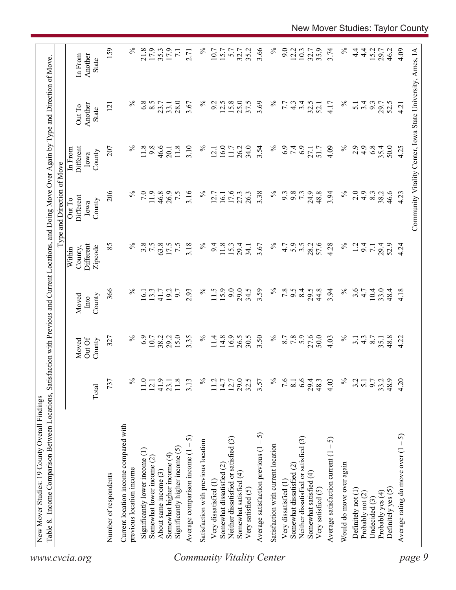| 159<br>3.66<br>$\%$<br>$\%$<br>$\%$<br>21.8<br>17.9<br>$\%$<br>9.0<br>3.74<br>$4\frac{4}{1}$<br>4.09<br>17.9<br>35.2<br>12.2<br>10.3<br>35.9<br>$\frac{4}{1}$<br>15.2<br>Community Vitality Center, Iowa State University, Ames, IA<br>35.3<br>10.7<br>15.7<br>5.7<br>32.7<br>32.7<br>29.7<br>46.2<br>$\overline{7.1}$<br>2.71<br>Another<br>In From<br>State<br>$\%$<br>$\%$<br>$\%$<br>6.8<br>8.5<br>28.0<br>$\%$<br>12.5<br>15.8<br>25.0<br>37.5<br>3.69<br>3.4<br>3.67<br>9.2<br>32.5<br>3.4<br>9.3<br>7.7<br>$4\degree$<br>4.17<br>$\overline{5.1}$<br>29.7<br>52.5<br>23.7<br>33.1<br>52.1<br>4.21<br>Another<br>$\overline{2}$<br>Out To<br>State<br>$\%$<br>$\%$<br>11.8<br>9.8<br>46.6<br>3.10<br>16.0<br>34.0<br>$\%$<br>6.9<br>7.4<br>6.9<br>2.9<br>4.9<br>6.8<br>35.4<br>50.0<br>207<br>11.8<br>$\%$<br>26.2<br>3.54<br>4.09<br>4.25<br>Different<br>11.7<br>51.7<br>27.1<br>20.1<br>12.1<br>In From<br>County<br>Iowa<br>206<br>$\%$<br>$\%$<br>$\%$<br>7.0<br>11.9<br>46.8<br>3.16<br>$\%$<br>3.38<br>9.8<br>73<br>24.9<br>48.8<br>3.94<br>2.0<br>$\ddot{4}$ .<br>26.9<br>7.5<br>17.6<br>27.3<br>26.3<br>9.3<br>8.3<br>38.2<br>46.6<br>4.23<br>12.7<br>16.1<br>Different<br>Out To<br>County<br>Iowa<br>$\%$<br>$\%$<br>5.9<br>57.6<br>$\%$<br>85<br>3.8<br>7.5<br>63.8<br>3.18<br>$\%$<br>3.5<br>4.28<br>Different<br>17.5<br>$\overline{7.5}$<br>9.4<br>11.8<br>15.3<br>3.67<br>4.7<br>28.2<br>1.2<br>9.4<br>29.4<br>29.4<br>52.9<br>4.24<br>34.1<br>$\overline{7}$ .<br>County,<br>Zipcode<br>Within<br>15.9<br>9.0<br>3.59<br>$\%$<br>$\%$<br>3.6<br>366<br>$\%$<br>$\%$<br>29.0<br>34.5<br>7.8<br>8.4<br>44.8<br>3.94<br>$10.4\,$<br>33.0<br>2.93<br>11.5<br>6.6<br>29.5<br>4.18<br>13.3<br>192<br>6.7<br>4.7<br>48.4<br>16.1<br>41.7<br>County<br>Moved<br>Into<br>6.9<br>15.0<br>16.9<br>26.5<br>$\%$<br>7.8<br>27.6<br>50.0<br>$\%$<br>$\%$<br>29.2<br>3.35<br>$\%$<br>14.8<br>30.5<br>3.50<br>8.7<br>48.8<br>10.7<br>38.2<br>11.4<br>$\frac{4.3}{8.7}$<br>4.22<br>327<br>4.03<br>3.1<br>35.1<br>Out Of<br>County<br>Moved<br>$\%$<br>29.0<br>$\%$<br>6.6<br>$\%$<br>4.20<br>737<br>℅<br>41.9<br>32.5<br>7.6<br>4.03<br>9.7<br>48.9<br>11.0<br>$11.8$<br>3.13<br>11.2<br>$14.7$<br>12.7<br>3.57<br>29.4<br>48.3<br>3.2<br>33.2<br>$\overline{5.1}$<br>12.1<br>23.1<br>$\overline{8.1}$<br>Total<br>Current location income compared with<br>Average satisfaction previous $(1 - 5)$<br>Average rating do move over $(1 - 5)$<br>5<br>Neither dissatisfied or satisfied (3)<br>Neither dissatisfied or satisfied (3)<br>Average satisfaction current $(1 - 5)$<br>Satisfaction with previous location<br>Satisfaction with current location<br>Significantly higher income (5)<br>Significantly lower income (1)<br>Average comparison income (1<br>Somewhat higher income (4)<br>Somewhat lower income (2)<br>Would do move over again<br>Somewhat dissatisfied (2)<br>Somewhat dissatisfied (2)<br>previous location income<br>About same income (3)<br>Somewhat satisfied (4)<br>Somewhat satisfied (4)<br>Number of respondents<br>Very dissatisfied (1<br>Very dissatisfied (1<br>Very satisfied (5)<br>Very satisfied (5)<br>Definitely yes (5)<br>Definitely not (1)<br>Probably yes (4)<br>Probably not (2)<br>Undecided (3)<br>www.cvcia.org | Table 8. Income Comparison Between Locations, | Satisfa |  | action with Previous and Current Locations, and Doing Move Over Again by Type and Direction of Move<br>Type and Direction of Move |  |  |
|----------------------------------------------------------------------------------------------------------------------------------------------------------------------------------------------------------------------------------------------------------------------------------------------------------------------------------------------------------------------------------------------------------------------------------------------------------------------------------------------------------------------------------------------------------------------------------------------------------------------------------------------------------------------------------------------------------------------------------------------------------------------------------------------------------------------------------------------------------------------------------------------------------------------------------------------------------------------------------------------------------------------------------------------------------------------------------------------------------------------------------------------------------------------------------------------------------------------------------------------------------------------------------------------------------------------------------------------------------------------------------------------------------------------------------------------------------------------------------------------------------------------------------------------------------------------------------------------------------------------------------------------------------------------------------------------------------------------------------------------------------------------------------------------------------------------------------------------------------------------------------------------------------------------------------------------------------------------------------------------------------------------------------------------------------------------------------------------------------------------------------------------------------------------------------------------------------------------------------------------------------------------------------------------------------------------------------------------------------------------------------------------------------------------------------------------------------------------------------------------------------------------------------------------------------------------------------------------------------------------------------------------------------------------------------------------------------------------------------------------------------------------------------------------------------------------------------------------------------------------------------------------------------------------------------------------------------------------------------------------------------------------------------------------------------------------------------------------------------------------------------------------------------------------------------------------------------------------------------------------------------------------------|-----------------------------------------------|---------|--|-----------------------------------------------------------------------------------------------------------------------------------|--|--|
|                                                                                                                                                                                                                                                                                                                                                                                                                                                                                                                                                                                                                                                                                                                                                                                                                                                                                                                                                                                                                                                                                                                                                                                                                                                                                                                                                                                                                                                                                                                                                                                                                                                                                                                                                                                                                                                                                                                                                                                                                                                                                                                                                                                                                                                                                                                                                                                                                                                                                                                                                                                                                                                                                                                                                                                                                                                                                                                                                                                                                                                                                                                                                                                                                                                                            |                                               |         |  |                                                                                                                                   |  |  |
|                                                                                                                                                                                                                                                                                                                                                                                                                                                                                                                                                                                                                                                                                                                                                                                                                                                                                                                                                                                                                                                                                                                                                                                                                                                                                                                                                                                                                                                                                                                                                                                                                                                                                                                                                                                                                                                                                                                                                                                                                                                                                                                                                                                                                                                                                                                                                                                                                                                                                                                                                                                                                                                                                                                                                                                                                                                                                                                                                                                                                                                                                                                                                                                                                                                                            |                                               |         |  |                                                                                                                                   |  |  |
| page 9<br><b>Community Vitality Center</b>                                                                                                                                                                                                                                                                                                                                                                                                                                                                                                                                                                                                                                                                                                                                                                                                                                                                                                                                                                                                                                                                                                                                                                                                                                                                                                                                                                                                                                                                                                                                                                                                                                                                                                                                                                                                                                                                                                                                                                                                                                                                                                                                                                                                                                                                                                                                                                                                                                                                                                                                                                                                                                                                                                                                                                                                                                                                                                                                                                                                                                                                                                                                                                                                                                 |                                               |         |  |                                                                                                                                   |  |  |
|                                                                                                                                                                                                                                                                                                                                                                                                                                                                                                                                                                                                                                                                                                                                                                                                                                                                                                                                                                                                                                                                                                                                                                                                                                                                                                                                                                                                                                                                                                                                                                                                                                                                                                                                                                                                                                                                                                                                                                                                                                                                                                                                                                                                                                                                                                                                                                                                                                                                                                                                                                                                                                                                                                                                                                                                                                                                                                                                                                                                                                                                                                                                                                                                                                                                            |                                               |         |  |                                                                                                                                   |  |  |
|                                                                                                                                                                                                                                                                                                                                                                                                                                                                                                                                                                                                                                                                                                                                                                                                                                                                                                                                                                                                                                                                                                                                                                                                                                                                                                                                                                                                                                                                                                                                                                                                                                                                                                                                                                                                                                                                                                                                                                                                                                                                                                                                                                                                                                                                                                                                                                                                                                                                                                                                                                                                                                                                                                                                                                                                                                                                                                                                                                                                                                                                                                                                                                                                                                                                            |                                               |         |  |                                                                                                                                   |  |  |
|                                                                                                                                                                                                                                                                                                                                                                                                                                                                                                                                                                                                                                                                                                                                                                                                                                                                                                                                                                                                                                                                                                                                                                                                                                                                                                                                                                                                                                                                                                                                                                                                                                                                                                                                                                                                                                                                                                                                                                                                                                                                                                                                                                                                                                                                                                                                                                                                                                                                                                                                                                                                                                                                                                                                                                                                                                                                                                                                                                                                                                                                                                                                                                                                                                                                            |                                               |         |  |                                                                                                                                   |  |  |
|                                                                                                                                                                                                                                                                                                                                                                                                                                                                                                                                                                                                                                                                                                                                                                                                                                                                                                                                                                                                                                                                                                                                                                                                                                                                                                                                                                                                                                                                                                                                                                                                                                                                                                                                                                                                                                                                                                                                                                                                                                                                                                                                                                                                                                                                                                                                                                                                                                                                                                                                                                                                                                                                                                                                                                                                                                                                                                                                                                                                                                                                                                                                                                                                                                                                            |                                               |         |  |                                                                                                                                   |  |  |
|                                                                                                                                                                                                                                                                                                                                                                                                                                                                                                                                                                                                                                                                                                                                                                                                                                                                                                                                                                                                                                                                                                                                                                                                                                                                                                                                                                                                                                                                                                                                                                                                                                                                                                                                                                                                                                                                                                                                                                                                                                                                                                                                                                                                                                                                                                                                                                                                                                                                                                                                                                                                                                                                                                                                                                                                                                                                                                                                                                                                                                                                                                                                                                                                                                                                            |                                               |         |  |                                                                                                                                   |  |  |
|                                                                                                                                                                                                                                                                                                                                                                                                                                                                                                                                                                                                                                                                                                                                                                                                                                                                                                                                                                                                                                                                                                                                                                                                                                                                                                                                                                                                                                                                                                                                                                                                                                                                                                                                                                                                                                                                                                                                                                                                                                                                                                                                                                                                                                                                                                                                                                                                                                                                                                                                                                                                                                                                                                                                                                                                                                                                                                                                                                                                                                                                                                                                                                                                                                                                            |                                               |         |  |                                                                                                                                   |  |  |
|                                                                                                                                                                                                                                                                                                                                                                                                                                                                                                                                                                                                                                                                                                                                                                                                                                                                                                                                                                                                                                                                                                                                                                                                                                                                                                                                                                                                                                                                                                                                                                                                                                                                                                                                                                                                                                                                                                                                                                                                                                                                                                                                                                                                                                                                                                                                                                                                                                                                                                                                                                                                                                                                                                                                                                                                                                                                                                                                                                                                                                                                                                                                                                                                                                                                            |                                               |         |  |                                                                                                                                   |  |  |
|                                                                                                                                                                                                                                                                                                                                                                                                                                                                                                                                                                                                                                                                                                                                                                                                                                                                                                                                                                                                                                                                                                                                                                                                                                                                                                                                                                                                                                                                                                                                                                                                                                                                                                                                                                                                                                                                                                                                                                                                                                                                                                                                                                                                                                                                                                                                                                                                                                                                                                                                                                                                                                                                                                                                                                                                                                                                                                                                                                                                                                                                                                                                                                                                                                                                            |                                               |         |  |                                                                                                                                   |  |  |
|                                                                                                                                                                                                                                                                                                                                                                                                                                                                                                                                                                                                                                                                                                                                                                                                                                                                                                                                                                                                                                                                                                                                                                                                                                                                                                                                                                                                                                                                                                                                                                                                                                                                                                                                                                                                                                                                                                                                                                                                                                                                                                                                                                                                                                                                                                                                                                                                                                                                                                                                                                                                                                                                                                                                                                                                                                                                                                                                                                                                                                                                                                                                                                                                                                                                            |                                               |         |  |                                                                                                                                   |  |  |
|                                                                                                                                                                                                                                                                                                                                                                                                                                                                                                                                                                                                                                                                                                                                                                                                                                                                                                                                                                                                                                                                                                                                                                                                                                                                                                                                                                                                                                                                                                                                                                                                                                                                                                                                                                                                                                                                                                                                                                                                                                                                                                                                                                                                                                                                                                                                                                                                                                                                                                                                                                                                                                                                                                                                                                                                                                                                                                                                                                                                                                                                                                                                                                                                                                                                            |                                               |         |  |                                                                                                                                   |  |  |
|                                                                                                                                                                                                                                                                                                                                                                                                                                                                                                                                                                                                                                                                                                                                                                                                                                                                                                                                                                                                                                                                                                                                                                                                                                                                                                                                                                                                                                                                                                                                                                                                                                                                                                                                                                                                                                                                                                                                                                                                                                                                                                                                                                                                                                                                                                                                                                                                                                                                                                                                                                                                                                                                                                                                                                                                                                                                                                                                                                                                                                                                                                                                                                                                                                                                            |                                               |         |  |                                                                                                                                   |  |  |
|                                                                                                                                                                                                                                                                                                                                                                                                                                                                                                                                                                                                                                                                                                                                                                                                                                                                                                                                                                                                                                                                                                                                                                                                                                                                                                                                                                                                                                                                                                                                                                                                                                                                                                                                                                                                                                                                                                                                                                                                                                                                                                                                                                                                                                                                                                                                                                                                                                                                                                                                                                                                                                                                                                                                                                                                                                                                                                                                                                                                                                                                                                                                                                                                                                                                            |                                               |         |  |                                                                                                                                   |  |  |
|                                                                                                                                                                                                                                                                                                                                                                                                                                                                                                                                                                                                                                                                                                                                                                                                                                                                                                                                                                                                                                                                                                                                                                                                                                                                                                                                                                                                                                                                                                                                                                                                                                                                                                                                                                                                                                                                                                                                                                                                                                                                                                                                                                                                                                                                                                                                                                                                                                                                                                                                                                                                                                                                                                                                                                                                                                                                                                                                                                                                                                                                                                                                                                                                                                                                            |                                               |         |  |                                                                                                                                   |  |  |
|                                                                                                                                                                                                                                                                                                                                                                                                                                                                                                                                                                                                                                                                                                                                                                                                                                                                                                                                                                                                                                                                                                                                                                                                                                                                                                                                                                                                                                                                                                                                                                                                                                                                                                                                                                                                                                                                                                                                                                                                                                                                                                                                                                                                                                                                                                                                                                                                                                                                                                                                                                                                                                                                                                                                                                                                                                                                                                                                                                                                                                                                                                                                                                                                                                                                            |                                               |         |  |                                                                                                                                   |  |  |
|                                                                                                                                                                                                                                                                                                                                                                                                                                                                                                                                                                                                                                                                                                                                                                                                                                                                                                                                                                                                                                                                                                                                                                                                                                                                                                                                                                                                                                                                                                                                                                                                                                                                                                                                                                                                                                                                                                                                                                                                                                                                                                                                                                                                                                                                                                                                                                                                                                                                                                                                                                                                                                                                                                                                                                                                                                                                                                                                                                                                                                                                                                                                                                                                                                                                            |                                               |         |  |                                                                                                                                   |  |  |
|                                                                                                                                                                                                                                                                                                                                                                                                                                                                                                                                                                                                                                                                                                                                                                                                                                                                                                                                                                                                                                                                                                                                                                                                                                                                                                                                                                                                                                                                                                                                                                                                                                                                                                                                                                                                                                                                                                                                                                                                                                                                                                                                                                                                                                                                                                                                                                                                                                                                                                                                                                                                                                                                                                                                                                                                                                                                                                                                                                                                                                                                                                                                                                                                                                                                            |                                               |         |  |                                                                                                                                   |  |  |
|                                                                                                                                                                                                                                                                                                                                                                                                                                                                                                                                                                                                                                                                                                                                                                                                                                                                                                                                                                                                                                                                                                                                                                                                                                                                                                                                                                                                                                                                                                                                                                                                                                                                                                                                                                                                                                                                                                                                                                                                                                                                                                                                                                                                                                                                                                                                                                                                                                                                                                                                                                                                                                                                                                                                                                                                                                                                                                                                                                                                                                                                                                                                                                                                                                                                            |                                               |         |  |                                                                                                                                   |  |  |
|                                                                                                                                                                                                                                                                                                                                                                                                                                                                                                                                                                                                                                                                                                                                                                                                                                                                                                                                                                                                                                                                                                                                                                                                                                                                                                                                                                                                                                                                                                                                                                                                                                                                                                                                                                                                                                                                                                                                                                                                                                                                                                                                                                                                                                                                                                                                                                                                                                                                                                                                                                                                                                                                                                                                                                                                                                                                                                                                                                                                                                                                                                                                                                                                                                                                            |                                               |         |  |                                                                                                                                   |  |  |
|                                                                                                                                                                                                                                                                                                                                                                                                                                                                                                                                                                                                                                                                                                                                                                                                                                                                                                                                                                                                                                                                                                                                                                                                                                                                                                                                                                                                                                                                                                                                                                                                                                                                                                                                                                                                                                                                                                                                                                                                                                                                                                                                                                                                                                                                                                                                                                                                                                                                                                                                                                                                                                                                                                                                                                                                                                                                                                                                                                                                                                                                                                                                                                                                                                                                            |                                               |         |  |                                                                                                                                   |  |  |
|                                                                                                                                                                                                                                                                                                                                                                                                                                                                                                                                                                                                                                                                                                                                                                                                                                                                                                                                                                                                                                                                                                                                                                                                                                                                                                                                                                                                                                                                                                                                                                                                                                                                                                                                                                                                                                                                                                                                                                                                                                                                                                                                                                                                                                                                                                                                                                                                                                                                                                                                                                                                                                                                                                                                                                                                                                                                                                                                                                                                                                                                                                                                                                                                                                                                            |                                               |         |  |                                                                                                                                   |  |  |
|                                                                                                                                                                                                                                                                                                                                                                                                                                                                                                                                                                                                                                                                                                                                                                                                                                                                                                                                                                                                                                                                                                                                                                                                                                                                                                                                                                                                                                                                                                                                                                                                                                                                                                                                                                                                                                                                                                                                                                                                                                                                                                                                                                                                                                                                                                                                                                                                                                                                                                                                                                                                                                                                                                                                                                                                                                                                                                                                                                                                                                                                                                                                                                                                                                                                            |                                               |         |  |                                                                                                                                   |  |  |
|                                                                                                                                                                                                                                                                                                                                                                                                                                                                                                                                                                                                                                                                                                                                                                                                                                                                                                                                                                                                                                                                                                                                                                                                                                                                                                                                                                                                                                                                                                                                                                                                                                                                                                                                                                                                                                                                                                                                                                                                                                                                                                                                                                                                                                                                                                                                                                                                                                                                                                                                                                                                                                                                                                                                                                                                                                                                                                                                                                                                                                                                                                                                                                                                                                                                            |                                               |         |  |                                                                                                                                   |  |  |
|                                                                                                                                                                                                                                                                                                                                                                                                                                                                                                                                                                                                                                                                                                                                                                                                                                                                                                                                                                                                                                                                                                                                                                                                                                                                                                                                                                                                                                                                                                                                                                                                                                                                                                                                                                                                                                                                                                                                                                                                                                                                                                                                                                                                                                                                                                                                                                                                                                                                                                                                                                                                                                                                                                                                                                                                                                                                                                                                                                                                                                                                                                                                                                                                                                                                            |                                               |         |  |                                                                                                                                   |  |  |
|                                                                                                                                                                                                                                                                                                                                                                                                                                                                                                                                                                                                                                                                                                                                                                                                                                                                                                                                                                                                                                                                                                                                                                                                                                                                                                                                                                                                                                                                                                                                                                                                                                                                                                                                                                                                                                                                                                                                                                                                                                                                                                                                                                                                                                                                                                                                                                                                                                                                                                                                                                                                                                                                                                                                                                                                                                                                                                                                                                                                                                                                                                                                                                                                                                                                            |                                               |         |  |                                                                                                                                   |  |  |
|                                                                                                                                                                                                                                                                                                                                                                                                                                                                                                                                                                                                                                                                                                                                                                                                                                                                                                                                                                                                                                                                                                                                                                                                                                                                                                                                                                                                                                                                                                                                                                                                                                                                                                                                                                                                                                                                                                                                                                                                                                                                                                                                                                                                                                                                                                                                                                                                                                                                                                                                                                                                                                                                                                                                                                                                                                                                                                                                                                                                                                                                                                                                                                                                                                                                            |                                               |         |  |                                                                                                                                   |  |  |
|                                                                                                                                                                                                                                                                                                                                                                                                                                                                                                                                                                                                                                                                                                                                                                                                                                                                                                                                                                                                                                                                                                                                                                                                                                                                                                                                                                                                                                                                                                                                                                                                                                                                                                                                                                                                                                                                                                                                                                                                                                                                                                                                                                                                                                                                                                                                                                                                                                                                                                                                                                                                                                                                                                                                                                                                                                                                                                                                                                                                                                                                                                                                                                                                                                                                            |                                               |         |  |                                                                                                                                   |  |  |
|                                                                                                                                                                                                                                                                                                                                                                                                                                                                                                                                                                                                                                                                                                                                                                                                                                                                                                                                                                                                                                                                                                                                                                                                                                                                                                                                                                                                                                                                                                                                                                                                                                                                                                                                                                                                                                                                                                                                                                                                                                                                                                                                                                                                                                                                                                                                                                                                                                                                                                                                                                                                                                                                                                                                                                                                                                                                                                                                                                                                                                                                                                                                                                                                                                                                            |                                               |         |  |                                                                                                                                   |  |  |
|                                                                                                                                                                                                                                                                                                                                                                                                                                                                                                                                                                                                                                                                                                                                                                                                                                                                                                                                                                                                                                                                                                                                                                                                                                                                                                                                                                                                                                                                                                                                                                                                                                                                                                                                                                                                                                                                                                                                                                                                                                                                                                                                                                                                                                                                                                                                                                                                                                                                                                                                                                                                                                                                                                                                                                                                                                                                                                                                                                                                                                                                                                                                                                                                                                                                            |                                               |         |  |                                                                                                                                   |  |  |